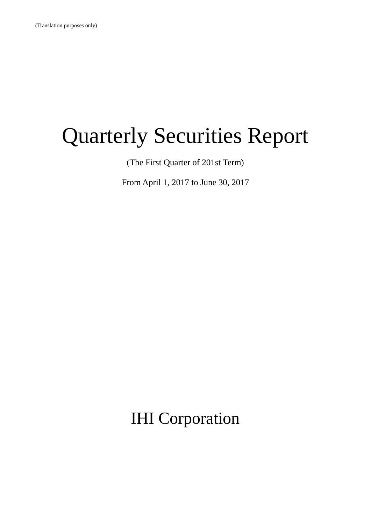# Quarterly Securities Report

(The First Quarter of 201st Term)

From April 1, 2017 to June 30, 2017

IHI Corporation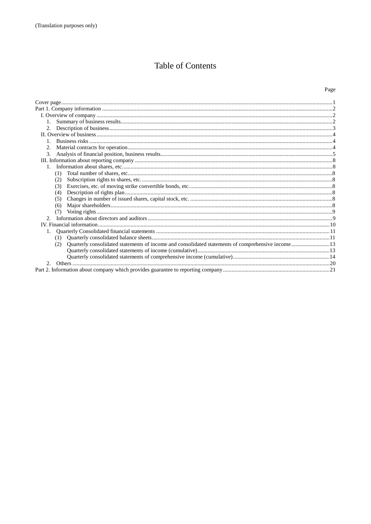# Table of Contents

# Page

| 2.                                                                                                       |  |
|----------------------------------------------------------------------------------------------------------|--|
|                                                                                                          |  |
|                                                                                                          |  |
|                                                                                                          |  |
| 3.                                                                                                       |  |
|                                                                                                          |  |
|                                                                                                          |  |
| (1)                                                                                                      |  |
| (2)                                                                                                      |  |
| (3)                                                                                                      |  |
| (4)                                                                                                      |  |
| (5)                                                                                                      |  |
| (6)                                                                                                      |  |
| (7)                                                                                                      |  |
| $2^{1}$                                                                                                  |  |
|                                                                                                          |  |
|                                                                                                          |  |
|                                                                                                          |  |
| Quarterly consolidated statements of income and consolidated statements of comprehensive income13<br>(2) |  |
|                                                                                                          |  |
|                                                                                                          |  |
| $\mathcal{D}$                                                                                            |  |
|                                                                                                          |  |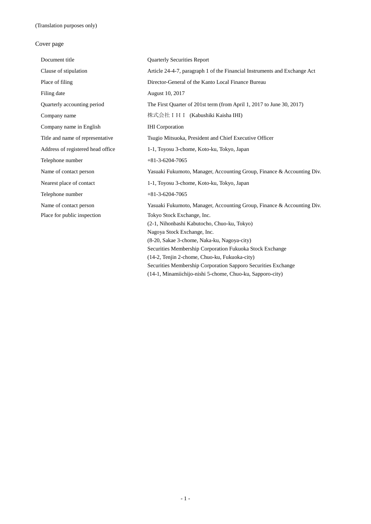# Cover page

| Document title                    | <b>Quarterly Securities Report</b>                                        |
|-----------------------------------|---------------------------------------------------------------------------|
| Clause of stipulation             | Article 24-4-7, paragraph 1 of the Financial Instruments and Exchange Act |
| Place of filing                   | Director-General of the Kanto Local Finance Bureau                        |
| Filing date                       | August 10, 2017                                                           |
| Quarterly accounting period       | The First Quarter of 201st term (from April 1, 2017 to June 30, 2017)     |
| Company name                      | 株式会社 I H I (Kabushiki Kaisha IHI)                                         |
| Company name in English           | <b>IHI</b> Corporation                                                    |
| Title and name of representative  | Tsugio Mitsuoka, President and Chief Executive Officer                    |
| Address of registered head office | 1-1, Toyosu 3-chome, Koto-ku, Tokyo, Japan                                |
| Telephone number                  | $+81-3-6204-7065$                                                         |
| Name of contact person            | Yasuaki Fukumoto, Manager, Accounting Group, Finance & Accounting Div.    |
| Nearest place of contact          | 1-1, Toyosu 3-chome, Koto-ku, Tokyo, Japan                                |
| Telephone number                  | $+81-3-6204-7065$                                                         |
| Name of contact person            | Yasuaki Fukumoto, Manager, Accounting Group, Finance & Accounting Div.    |
| Place for public inspection       | Tokyo Stock Exchange, Inc.                                                |
|                                   | (2-1, Nihonbashi Kabutocho, Chuo-ku, Tokyo)                               |
|                                   | Nagoya Stock Exchange, Inc.                                               |
|                                   | (8-20, Sakae 3-chome, Naka-ku, Nagoya-city)                               |
|                                   | Securities Membership Corporation Fukuoka Stock Exchange                  |
|                                   | (14-2, Tenjin 2-chome, Chuo-ku, Fukuoka-city)                             |
|                                   |                                                                           |
|                                   | Securities Membership Corporation Sapporo Securities Exchange             |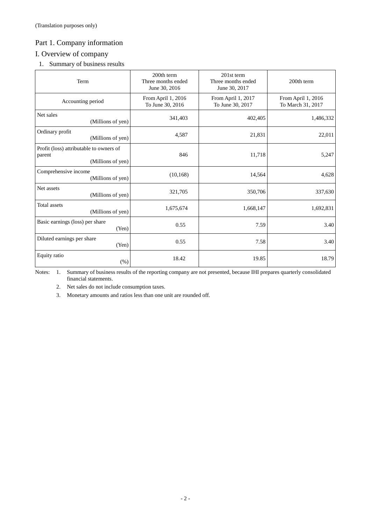# Part 1. Company information

# I. Overview of company

1. Summary of business results

| Term                                                                   | 200th term<br>Three months ended<br>June 30, 2016 | 201st term<br>Three months ended<br>June 30, 2017 | 200th term                              |
|------------------------------------------------------------------------|---------------------------------------------------|---------------------------------------------------|-----------------------------------------|
| Accounting period                                                      | From April 1, 2016<br>To June 30, 2016            | From April 1, 2017<br>To June 30, 2017            | From April 1, 2016<br>To March 31, 2017 |
| Net sales<br>(Millions of yen)                                         | 341,403                                           | 402,405                                           | 1,486,332                               |
| Ordinary profit<br>(Millions of yen)                                   | 4,587                                             | 21,831                                            | 22,011                                  |
| Profit (loss) attributable to owners of<br>parent<br>(Millions of yen) | 846                                               | 11,718                                            | 5,247                                   |
| Comprehensive income<br>(Millions of yen)                              | (10, 168)                                         | 14,564                                            | 4,628                                   |
| Net assets<br>(Millions of yen)                                        | 321,705                                           | 350,706                                           | 337,630                                 |
| Total assets<br>(Millions of yen)                                      | 1,675,674                                         | 1,668,147                                         | 1,692,831                               |
| Basic earnings (loss) per share<br>(Yen)                               | 0.55                                              | 7.59                                              | 3.40                                    |
| Diluted earnings per share<br>(Yen)                                    | 0.55                                              | 7.58                                              | 3.40                                    |
| Equity ratio<br>(% )                                                   | 18.42                                             | 19.85                                             | 18.79                                   |

Notes: 1. Summary of business results of the reporting company are not presented, because IHI prepares quarterly consolidated financial statements.

2. Net sales do not include consumption taxes.

3. Monetary amounts and ratios less than one unit are rounded off.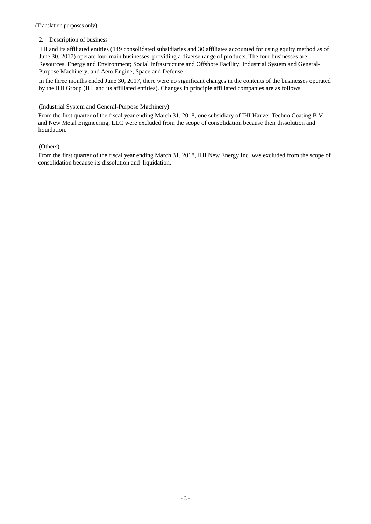(Translation purposes only)

## 2. Description of business

IHI and its affiliated entities (149 consolidated subsidiaries and 30 affiliates accounted for using equity method as of June 30, 2017) operate four main businesses, providing a diverse range of products. The four businesses are: Resources, Energy and Environment; Social Infrastructure and Offshore Facility; Industrial System and General-Purpose Machinery; and Aero Engine, Space and Defense.

In the three months ended June 30, 2017, there were no significant changes in the contents of the businesses operated by the IHI Group (IHI and its affiliated entities). Changes in principle affiliated companies are as follows.

# (Industrial System and General-Purpose Machinery)

From the first quarter of the fiscal year ending March 31, 2018, one subsidiary of IHI Hauzer Techno Coating B.V. and New Metal Engineering, LLC were excluded from the scope of consolidation because their dissolution and liquidation.

# (Others)

From the first quarter of the fiscal year ending March 31, 2018, IHI New Energy Inc. was excluded from the scope of consolidation because its dissolution and liquidation.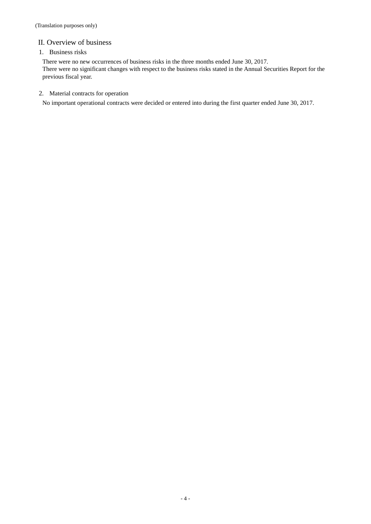# II. Overview of business

# 1. Business risks

There were no new occurrences of business risks in the three months ended June 30, 2017. There were no significant changes with respect to the business risks stated in the Annual Securities Report for the previous fiscal year.

# 2. Material contracts for operation

No important operational contracts were decided or entered into during the first quarter ended June 30, 2017.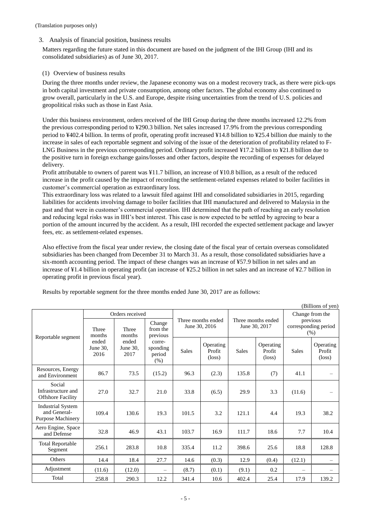# 3. Analysis of financial position, business results

Matters regarding the future stated in this document are based on the judgment of the IHI Group (IHI and its consolidated subsidiaries) as of June 30, 2017.

## (1) Overview of business results

During the three months under review, the Japanese economy was on a modest recovery track, as there were pick-ups in both capital investment and private consumption, among other factors. The global economy also continued to grow overall, particularly in the U.S. and Europe, despite rising uncertainties from the trend of U.S. policies and geopolitical risks such as those in East Asia.

Under this business environment, orders received of the IHI Group during the three months increased 12.2% from the previous corresponding period to ¥290.3 billion. Net sales increased 17.9% from the previous corresponding period to ¥402.4 billion. In terms of profit, operating profit increased ¥14.8 billion to ¥25.4 billion due mainly to the increase in sales of each reportable segment and solving of the issue of the deterioration of profitability related to F-LNG Business in the previous corresponding period. Ordinary profit increased ¥17.2 billion to ¥21.8 billion due to the positive turn in foreign exchange gains/losses and other factors, despite the recording of expenses for delayed delivery.

Profit attributable to owners of parent was ¥11.7 billion, an increase of ¥10.8 billion, as a result of the reduced increase in the profit caused by the impact of recording the settlement-related expenses related to boiler facilities in customer's commercial operation as extraordinary loss.

This extraordinary loss was related to a lawsuit filed against IHI and consolidated subsidiaries in 2015, regarding liabilities for accidents involving damage to boiler facilities that IHI manufactured and delivered to Malaysia in the past and that were in customer's commercial operation. IHI determined that the path of reaching an early resolution and reducing legal risks was in IHI's best interest. This case is now expected to be settled by agreeing to bear a portion of the amount incurred by the accident. As a result, IHI recorded the expected settlement package and lawyer fees, etc. as settlement-related expenses.

Also effective from the fiscal year under review, the closing date of the fiscal year of certain overseas consolidated subsidiaries has been changed from December 31 to March 31. As a result, those consolidated subsidiaries have a six-month accounting period. The impact of these changes was an increase of ¥57.9 billion in net sales and an increase of ¥1.4 billion in operating profit (an increase of ¥25.2 billion in net sales and an increase of ¥2.7 billion in operating profit in previous fiscal year).

| (Billions of yen)                                                    |                                                           |                           |                                                  |                                     |                                        |                                     |                                        |              |                                                             |
|----------------------------------------------------------------------|-----------------------------------------------------------|---------------------------|--------------------------------------------------|-------------------------------------|----------------------------------------|-------------------------------------|----------------------------------------|--------------|-------------------------------------------------------------|
|                                                                      | Orders received<br><b>Three</b><br><b>Three</b><br>months |                           | Change<br>from the                               | Three months ended<br>June 30, 2016 |                                        | Three months ended<br>June 30, 2017 |                                        |              | Change from the<br>previous<br>corresponding period<br>(% ) |
| Reportable segment                                                   | months<br>ended<br>June 30.<br>2016                       | ended<br>June 30.<br>2017 | previous<br>corre-<br>sponding<br>period<br>(% ) | <b>Sales</b>                        | Operating<br>Profit<br>$(\text{loss})$ | <b>Sales</b>                        | Operating<br>Profit<br>$(\text{loss})$ | <b>Sales</b> | Operating<br>Profit<br>$(\text{loss})$                      |
| Resources, Energy<br>and Environment                                 | 86.7                                                      | 73.5                      | (15.2)                                           | 96.3                                | (2.3)                                  | 135.8                               | (7)                                    | 41.1         |                                                             |
| Social<br>Infrastructure and<br><b>Offshore Facility</b>             | 27.0                                                      | 32.7                      | 21.0                                             | 33.8                                | (6.5)                                  | 29.9                                | 3.3                                    | (11.6)       |                                                             |
| <b>Industrial System</b><br>and General-<br><b>Purpose Machinery</b> | 109.4                                                     | 130.6                     | 19.3                                             | 101.5                               | 3.2                                    | 121.1                               | 4.4                                    | 19.3         | 38.2                                                        |
| Aero Engine, Space<br>and Defense                                    | 32.8                                                      | 46.9                      | 43.1                                             | 103.7                               | 16.9                                   | 111.7                               | 18.6                                   | 7.7          | 10.4                                                        |
| <b>Total Reportable</b><br>Segment                                   | 256.1                                                     | 283.8                     | 10.8                                             | 335.4                               | 11.2                                   | 398.6                               | 25.6                                   | 18.8         | 128.8                                                       |
| Others                                                               | 14.4                                                      | 18.4                      | 27.7                                             | 14.6                                | (0.3)                                  | 12.9                                | (0.4)                                  | (12.1)       |                                                             |
| Adjustment                                                           | (11.6)                                                    | (12.0)                    | $\overline{\phantom{0}}$                         | (8.7)                               | (0.1)                                  | (9.1)                               | 0.2                                    |              |                                                             |
| Total                                                                | 258.8                                                     | 290.3                     | 12.2                                             | 341.4                               | 10.6                                   | 402.4                               | 25.4                                   | 17.9         | 139.2                                                       |

Results by reportable segment for the three months ended June 30, 2017 are as follows: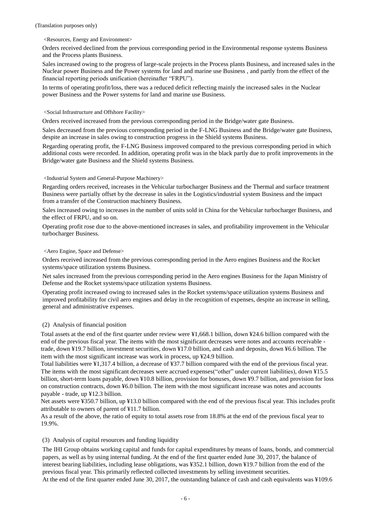#### <Resources, Energy and Environment>

Orders received declined from the previous corresponding period in the Environmental response systems Business and the Process plants Business.

Sales increased owing to the progress of large-scale projects in the Process plants Business, and increased sales in the Nuclear power Business and the Power systems for land and marine use Business , and partly from the effect of the financial reporting periods unification (hereinafter "FRPU").

In terms of operating profit/loss, there was a reduced deficit reflecting mainly the increased sales in the Nuclear power Business and the Power systems for land and marine use Business.

#### <Social Infrastructure and Offshore Facility>

Orders received increased from the previous corresponding period in the Bridge/water gate Business.

Sales decreased from the previous corresponding period in the F-LNG Business and the Bridge/water gate Business, despite an increase in sales owing to construction progress in the Shield systems Business.

Regarding operating profit, the F-LNG Business improved compared to the previous corresponding period in which additional costs were recorded. In addition, operating profit was in the black partly due to profit improvements in the Bridge/water gate Business and the Shield systems Business.

## <Industrial System and General-Purpose Machinery>

Regarding orders received, increases in the Vehicular turbocharger Business and the Thermal and surface treatment Business were partially offset by the decrease in sales in the Logistics/industrial system Business and the impact from a transfer of the Construction machinery Business.

Sales increased owing to increases in the number of units sold in China for the Vehicular turbocharger Business, and the effect of FRPU, and so on.

Operating profit rose due to the above-mentioned increases in sales, and profitability improvement in the Vehicular turbocharger Business.

#### <Aero Engine, Space and Defense>

Orders received increased from the previous corresponding period in the Aero engines Business and the Rocket systems/space utilization systems Business.

Net sales increased from the previous corresponding period in the Aero engines Business for the Japan Ministry of Defense and the Rocket systems/space utilization systems Business.

Operating profit increased owing to increased sales in the Rocket systems/space utilization systems Business and improved profitability for civil aero engines and delay in the recognition of expenses, despite an increase in selling, general and administrative expenses.

#### (2) Analysis of financial position

Total assets at the end of the first quarter under review were ¥1,668.1 billion, down ¥24.6 billion compared with the end of the previous fiscal year. The items with the most significant decreases were notes and accounts receivable trade, down ¥19.7 billion, investment securities, down ¥17.0 billion, and cash and deposits, down ¥6.6 billion. The item with the most significant increase was work in process, up ¥24.9 billion.

Total liabilities were ¥1,317.4 billion, a decrease of ¥37.7 billion compared with the end of the previous fiscal year. The items with the most significant decreases were accrued expenses("other" under current liabilities), down ¥15.5 billion, short-term loans payable, down ¥10.8 billion, provision for bonuses, down ¥9.7 billion, and provision for loss on construction contracts, down ¥6.0 billion. The item with the most significant increase was notes and accounts payable - trade, up ¥12.3 billion.

Net assets were ¥350.7 billion, up ¥13.0 billion compared with the end of the previous fiscal year. This includes profit attributable to owners of parent of ¥11.7 billion.

As a result of the above, the ratio of equity to total assets rose from 18.8% at the end of the previous fiscal year to 19.9%.

#### (3) Analysis of capital resources and funding liquidity

The IHI Group obtains working capital and funds for capital expenditures by means of loans, bonds, and commercial papers, as well as by using internal funding. At the end of the first quarter ended June 30, 2017, the balance of interest bearing liabilities, including lease obligations, was ¥352.1 billion, down ¥19.7 billion from the end of the previous fiscal year. This primarily reflected collected investments by selling investment securities. At the end of the first quarter ended June 30, 2017, the outstanding balance of cash and cash equivalents was ¥109.6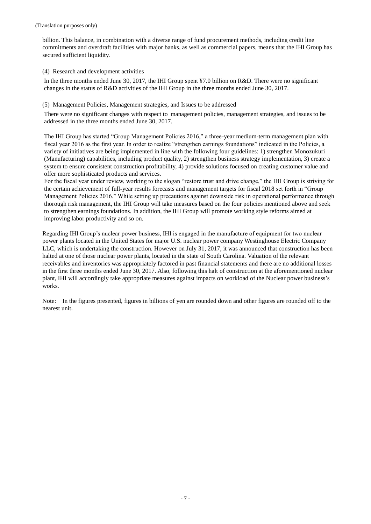billion. This balance, in combination with a diverse range of fund procurement methods, including credit line commitments and overdraft facilities with major banks, as well as commercial papers, means that the IHI Group has secured sufficient liquidity.

#### (4) Research and development activities

In the three months ended June 30, 2017, the IHI Group spent ¥7.0 billion on R&D. There were no significant changes in the status of R&D activities of the IHI Group in the three months ended June 30, 2017.

#### (5) Management Policies, Management strategies, and Issues to be addressed

There were no significant changes with respect to management policies, management strategies, and issues to be addressed in the three months ended June 30, 2017.

The IHI Group has started "Group Management Policies 2016," a three-year medium-term management plan with fiscal year 2016 as the first year. In order to realize "strengthen earnings foundations" indicated in the Policies, a variety of initiatives are being implemented in line with the following four guidelines: 1) strengthen Monozukuri (Manufacturing) capabilities, including product quality, 2) strengthen business strategy implementation, 3) create a system to ensure consistent construction profitability, 4) provide solutions focused on creating customer value and offer more sophisticated products and services.

For the fiscal year under review, working to the slogan "restore trust and drive change," the IHI Group is striving for the certain achievement of full-year results forecasts and management targets for fiscal 2018 set forth in "Group Management Policies 2016." While setting up precautions against downside risk in operational performance through thorough risk management, the IHI Group will take measures based on the four policies mentioned above and seek to strengthen earnings foundations. In addition, the IHI Group will promote working style reforms aimed at improving labor productivity and so on.

Regarding IHI Group's nuclear power business, IHI is engaged in the manufacture of equipment for two nuclear power plants located in the United States for major U.S. nuclear power company Westinghouse Electric Company LLC, which is undertaking the construction. However on July 31, 2017, it was announced that construction has been halted at one of those nuclear power plants, located in the state of South Carolina. Valuation of the relevant receivables and inventories was appropriately factored in past financial statements and there are no additional losses in the first three months ended June 30, 2017. Also, following this halt of construction at the aforementioned nuclear plant, IHI will accordingly take appropriate measures against impacts on workload of the Nuclear power business's works.

Note: In the figures presented, figures in billions of yen are rounded down and other figures are rounded off to the nearest unit.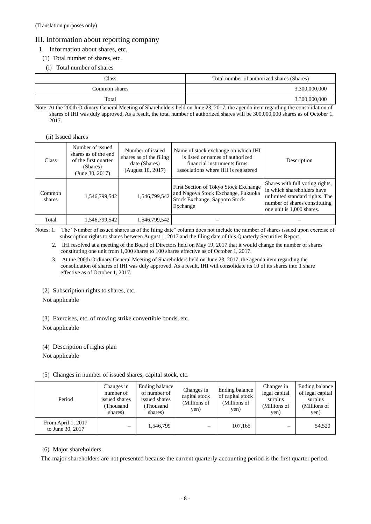# III. Information about reporting company

# 1. Information about shares, etc.

- (1) Total number of shares, etc.
- (i) Total number of shares

| Class         | Total number of authorized shares (Shares) |
|---------------|--------------------------------------------|
| Common shares | 3,300,000,000                              |
| Total         | 3,300,000,000                              |

Note: At the 200th Ordinary General Meeting of Shareholders held on June 23, 2017, the agenda item regarding the consolidation of shares of IHI was duly approved. As a result, the total number of authorized shares will be 300,000,000 shares as of October 1, 2017.

#### (ii) Issued shares

| <b>Class</b>     | Number of issued<br>shares as of the end<br>of the first quarter<br>(Shares)<br>(June 30, 2017) | Number of issued<br>shares as of the filing<br>date (Shares)<br>(August 10, 2017) | Name of stock exchange on which IHI<br>is listed or names of authorized<br>financial instruments firms<br>associations where IHI is registered | Description                                                                                                                                                   |
|------------------|-------------------------------------------------------------------------------------------------|-----------------------------------------------------------------------------------|------------------------------------------------------------------------------------------------------------------------------------------------|---------------------------------------------------------------------------------------------------------------------------------------------------------------|
| Common<br>shares | 1,546,799,542                                                                                   | 1,546,799,542                                                                     | First Section of Tokyo Stock Exchange<br>and Nagoya Stock Exchange, Fukuoka<br>Stock Exchange, Sapporo Stock<br>Exchange                       | Shares with full voting rights,<br>in which shareholders have<br>unlimited standard rights. The<br>number of shares constituting<br>one unit is 1,000 shares. |
| Total            | 1,546,799,542                                                                                   | 1,546,799,542                                                                     |                                                                                                                                                |                                                                                                                                                               |

Notes: 1. The "Number of issued shares as of the filing date" column does not include the number of shares issued upon exercise of subscription rights to shares between August 1, 2017 and the filing date of this Quarterly Securities Report.

- 2. IHI resolved at a meeting of the Board of Directors held on May 19, 2017 that it would change the number of shares constituting one unit from 1,000 shares to 100 shares effective as of October 1, 2017.
- 3. At the 200th Ordinary General Meeting of Shareholders held on June 23, 2017, the agenda item regarding the consolidation of shares of IHI was duly approved. As a result, IHI will consolidate its 10 of its shares into 1 share effective as of October 1, 2017.
- (2) Subscription rights to shares, etc.

Not applicable

(3) Exercises, etc. of moving strike convertible bonds, etc.

Not applicable

# (4) Description of rights plan

Not applicable

# (5) Changes in number of issued shares, capital stock, etc.

| Period                                 | Changes in<br>number of<br>issued shares<br>(Thousand<br>shares) | Ending balance<br>of number of<br>issued shares<br>(Thousand<br>shares) | Changes in<br>capital stock<br>(Millions of<br>yen) | Ending balance<br>of capital stock<br>(Millions of<br>yen) | Changes in<br>legal capital<br>surplus<br>(Millions of<br>yen) | Ending balance<br>of legal capital<br>surplus<br>(Millions of<br>yen) |
|----------------------------------------|------------------------------------------------------------------|-------------------------------------------------------------------------|-----------------------------------------------------|------------------------------------------------------------|----------------------------------------------------------------|-----------------------------------------------------------------------|
| From April 1, 2017<br>to June 30, 2017 |                                                                  | 1,546,799                                                               | —                                                   | 107,165                                                    |                                                                | 54,520                                                                |

# (6) Major shareholders

The major shareholders are not presented because the current quarterly accounting period is the first quarter period.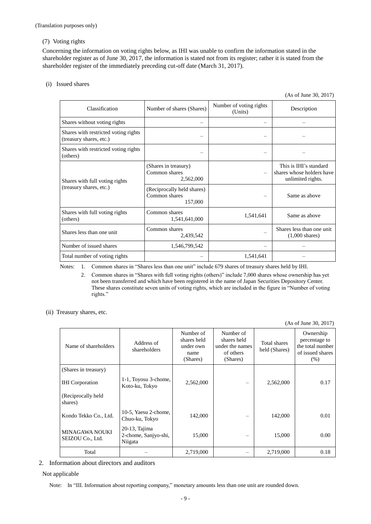## (7) Voting rights

Concerning the information on voting rights below, as IHI was unable to confirm the information stated in the shareholder register as of June 30, 2017, the information is stated not from its register; rather it is stated from the shareholder register of the immediately preceding cut-off date (March 31, 2017).

#### (i) Issued shares

(As of June 30, 2017)

| Classification                                                  | Number of shares (Shares)                              | Number of voting rights<br>(Units) | Description                                                              |
|-----------------------------------------------------------------|--------------------------------------------------------|------------------------------------|--------------------------------------------------------------------------|
| Shares without voting rights                                    |                                                        |                                    |                                                                          |
| Shares with restricted voting rights<br>(treasury shares, etc.) |                                                        |                                    |                                                                          |
| Shares with restricted voting rights<br>(others)                |                                                        |                                    |                                                                          |
| Shares with full voting rights<br>(treasury shares, etc.)       | (Shares in treasury)<br>Common shares<br>2,562,000     |                                    | This is IHI's standard<br>shares whose holders have<br>unlimited rights. |
|                                                                 | (Reciprocally held shares)<br>Common shares<br>157,000 |                                    | Same as above                                                            |
| Shares with full voting rights<br>(others)                      | Common shares<br>1,541,641,000                         | 1,541,641                          | Same as above                                                            |
| Shares less than one unit                                       | Common shares<br>2,439,542                             |                                    | Shares less than one unit<br>$(1,000 \text{ shares})$                    |
| Number of issued shares                                         | 1,546,799,542                                          |                                    |                                                                          |
| Total number of voting rights                                   |                                                        | 1,541,641                          |                                                                          |

Notes: 1. Common shares in "Shares less than one unit" include 679 shares of treasury shares held by IHI.

- 2. Common shares in "Shares with full voting rights (others)" include 7,000 shares whose ownership has yet not been transferred and which have been registered in the name of Japan Securities Depository Center. These shares constitute seven units of voting rights, which are included in the figure in "Number of voting rights."
- (ii) Treasury shares, etc.

(As of June 30, 2017)

| Name of shareholders               | Address of<br>shareholders                          | Number of<br>shares held<br>under own<br>name<br>(Shares) | Number of<br>shares held<br>under the names<br>of others<br>(Shares) | <b>Total shares</b><br>held (Shares) | Ownership<br>percentage to<br>the total number<br>of issued shares<br>$(\% )$ |
|------------------------------------|-----------------------------------------------------|-----------------------------------------------------------|----------------------------------------------------------------------|--------------------------------------|-------------------------------------------------------------------------------|
| (Shares in treasury)               |                                                     |                                                           |                                                                      |                                      |                                                                               |
| <b>IHI</b> Corporation             | 1-1, Toyosu 3-chome,<br>Koto-ku, Tokyo              | 2,562,000                                                 |                                                                      | 2,562,000                            | 0.17                                                                          |
| (Reciprocally held<br>shares)      |                                                     |                                                           |                                                                      |                                      |                                                                               |
| Kondo Tekko Co., Ltd.              | 10-5, Yaesu 2-chome,<br>Chuo-ku, Tokyo              | 142,000                                                   |                                                                      | 142,000                              | 0.01                                                                          |
| MINAGAWA NOUKI<br>SEIZOU Co., Ltd. | $20-13$ , Tajima<br>2-chome, Sanjyo-shi,<br>Niigata | 15,000                                                    |                                                                      | 15,000                               | 0.00                                                                          |
| Total                              |                                                     | 2,719,000                                                 |                                                                      | 2,719,000                            | 0.18                                                                          |

2. Information about directors and auditors

## Not applicable

Note: In "III. Information about reporting company," monetary amounts less than one unit are rounded down.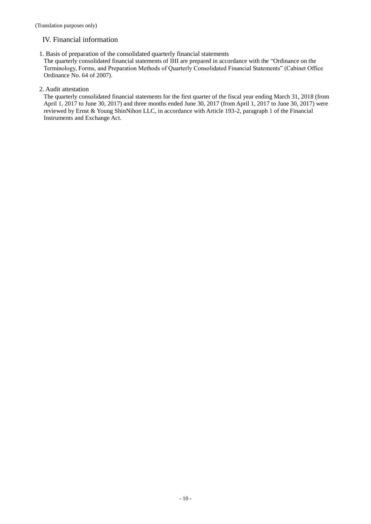# IV. Financial information

1. Basis of preparation of the consolidated quarterly financial statements

The quarterly consolidated financial statements of IHI are prepared in accordance with the "Ordinance on the Terminology, Forms, and Preparation Methods of Quarterly Consolidated Financial Statements" (Cabinet Office Ordinance No. 64 of 2007).

# 2. Audit attestation

The quarterly consolidated financial statements for the first quarter of the fiscal year ending March 31, 2018 (from April 1, 2017 to June 30, 2017) and three months ended June 30, 2017 (from April 1, 2017 to June 30, 2017) were reviewed by Ernst & Young ShinNihon LLC, in accordance with Article 193-2, paragraph 1 of the Financial Instruments and Exchange Act.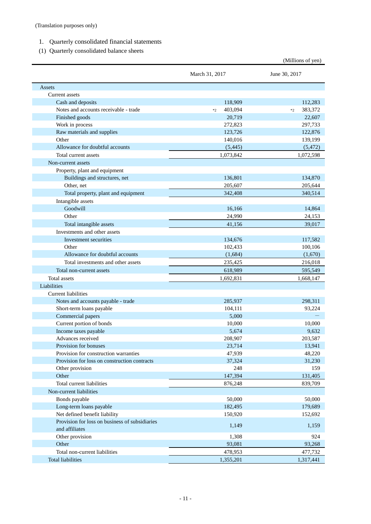- 1. Quarterly consolidated financial statements
- (1) Quarterly consolidated balance sheets

|                                                                  |                 | (Millions of yen) |
|------------------------------------------------------------------|-----------------|-------------------|
|                                                                  | March 31, 2017  | June 30, 2017     |
| Assets                                                           |                 |                   |
| Current assets                                                   |                 |                   |
| Cash and deposits                                                | 118,909         | 112,283           |
| Notes and accounts receivable - trade                            | 403,094<br>$*2$ | 383,372<br>$*2$   |
| Finished goods                                                   | 20,719          | 22,607            |
| Work in process                                                  | 272,823         | 297,733           |
| Raw materials and supplies                                       | 123,726         | 122,876           |
| Other                                                            | 140,016         | 139,199           |
| Allowance for doubtful accounts                                  | (5, 445)        | (5, 472)          |
| Total current assets                                             | 1,073,842       | 1,072,598         |
| Non-current assets                                               |                 |                   |
| Property, plant and equipment                                    |                 |                   |
| Buildings and structures, net                                    | 136,801         | 134,870           |
| Other, net                                                       | 205,607         | 205,644           |
| Total property, plant and equipment                              | 342,408         | 340,514           |
| Intangible assets                                                |                 |                   |
| Goodwill                                                         | 16,166          | 14,864            |
| Other                                                            | 24,990          | 24,153            |
| Total intangible assets                                          | 41,156          | 39,017            |
| Investments and other assets                                     |                 |                   |
| Investment securities                                            | 134,676         | 117,582           |
| Other                                                            | 102,433         | 100,106           |
| Allowance for doubtful accounts                                  | (1,684)         | (1,670)           |
| Total investments and other assets                               | 235,425         | 216,018           |
| Total non-current assets                                         | 618,989         | 595,549           |
| <b>Total assets</b>                                              | 1,692,831       | 1,668,147         |
| Liabilities                                                      |                 |                   |
| <b>Current liabilities</b>                                       |                 |                   |
| Notes and accounts payable - trade                               | 285,937         | 298,311           |
| Short-term loans payable                                         | 104,111         | 93,224            |
| Commercial papers                                                | 5,000           |                   |
| Current portion of bonds                                         | 10,000          | 10,000            |
| Income taxes payable                                             | 5,674           | 9,632             |
| Advances received                                                | 208,907         | 203,587           |
| Provision for bonuses                                            | 23,714          | 13,941            |
| Provision for construction warranties                            | 47,939          | 48,220            |
| Provision for loss on construction contracts                     | 37,324          | 31,230            |
| Other provision                                                  | 248             | 159               |
| Other                                                            | 147,394         | 131,405           |
| Total current liabilities                                        | 876,248         | 839,709           |
| Non-current liabilities                                          |                 |                   |
| Bonds payable                                                    | 50,000          | 50,000            |
| Long-term loans payable                                          | 182,495         | 179,689           |
| Net defined benefit liability                                    | 150,920         | 152,692           |
| Provision for loss on business of subsidiaries<br>and affiliates | 1,149           | 1,159             |
| Other provision                                                  | 1,308           | 924               |
| Other                                                            | 93,081          | 93,268            |
| Total non-current liabilities                                    | 478,953         | 477,732           |
| <b>Total liabilities</b>                                         | 1,355,201       | 1,317,441         |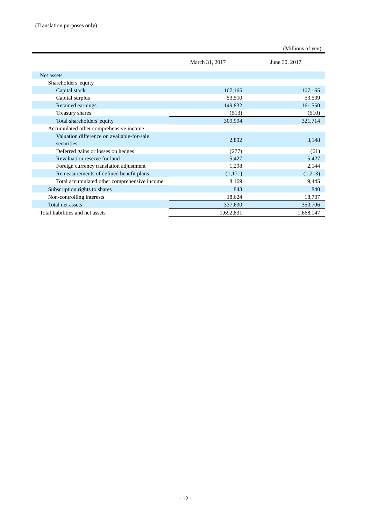|                                                          |                | (Millions of yen) |
|----------------------------------------------------------|----------------|-------------------|
|                                                          | March 31, 2017 | June 30, 2017     |
| Net assets                                               |                |                   |
| Shareholders' equity                                     |                |                   |
| Capital stock                                            | 107,165        | 107,165           |
| Capital surplus                                          | 53,510         | 53,509            |
| Retained earnings                                        | 149,832        | 161,550           |
| Treasury shares                                          | (513)          | (510)             |
| Total shareholders' equity                               | 309,994        | 321,714           |
| Accumulated other comprehensive income                   |                |                   |
| Valuation difference on available-for-sale<br>securities | 2,892          | 3,148             |
| Deferred gains or losses on hedges                       | (277)          | (61)              |
| Revaluation reserve for land                             | 5,427          | 5,427             |
| Foreign currency translation adjustment                  | 1,298          | 2,144             |
| Remeasurements of defined benefit plans                  | (1,171)        | (1,213)           |
| Total accumulated other comprehensive income             | 8,169          | 9,445             |
| Subscription rights to shares                            | 843            | 840               |
| Non-controlling interests                                | 18,624         | 18,707            |
| Total net assets                                         | 337,630        | 350,706           |
| Total liabilities and net assets                         | 1,692,831      | 1,668,147         |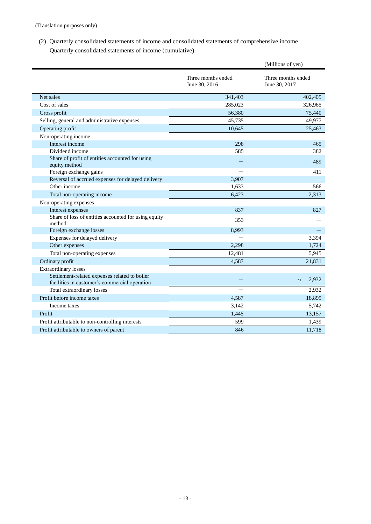(2) Quarterly consolidated statements of income and consolidated statements of comprehensive income Quarterly consolidated statements of income (cumulative)

|                                                                                                |                                     | (Millions of yen)                   |
|------------------------------------------------------------------------------------------------|-------------------------------------|-------------------------------------|
|                                                                                                | Three months ended<br>June 30, 2016 | Three months ended<br>June 30, 2017 |
| Net sales                                                                                      | 341,403                             | 402,405                             |
| Cost of sales                                                                                  | 285,023                             | 326,965                             |
| Gross profit                                                                                   | 56,380                              | 75,440                              |
| Selling, general and administrative expenses                                                   | 45.735                              | 49,977                              |
| Operating profit                                                                               | 10,645                              | 25,463                              |
| Non-operating income                                                                           |                                     |                                     |
| Interest income                                                                                | 298                                 | 465                                 |
| Dividend income                                                                                | 585                                 | 382                                 |
| Share of profit of entities accounted for using<br>equity method                               |                                     | 489                                 |
| Foreign exchange gains                                                                         |                                     | 411                                 |
| Reversal of accrued expenses for delayed delivery                                              | 3,907                               |                                     |
| Other income                                                                                   | 1,633                               | 566                                 |
| Total non-operating income                                                                     | 6,423                               | 2,313                               |
| Non-operating expenses                                                                         |                                     |                                     |
| Interest expenses                                                                              | 837                                 | 827                                 |
| Share of loss of entities accounted for using equity<br>method                                 | 353                                 |                                     |
| Foreign exchange losses                                                                        | 8,993                               |                                     |
| Expenses for delayed delivery                                                                  |                                     | 3,394                               |
| Other expenses                                                                                 | 2,298                               | 1,724                               |
| Total non-operating expenses                                                                   | 12,481                              | 5,945                               |
| Ordinary profit                                                                                | 4,587                               | 21,831                              |
| <b>Extraordinary losses</b>                                                                    |                                     |                                     |
| Settlement-related expenses related to boiler<br>facilities in customer's commercial operation |                                     | 2,932<br>$*1$                       |
| Total extraordinary losses                                                                     |                                     | 2,932                               |
| Profit before income taxes                                                                     | 4,587                               | 18,899                              |
| Income taxes                                                                                   | 3,142                               | 5,742                               |
| Profit                                                                                         | 1,445                               | 13,157                              |
| Profit attributable to non-controlling interests                                               | 599                                 | 1,439                               |
| Profit attributable to owners of parent                                                        | 846                                 | 11,718                              |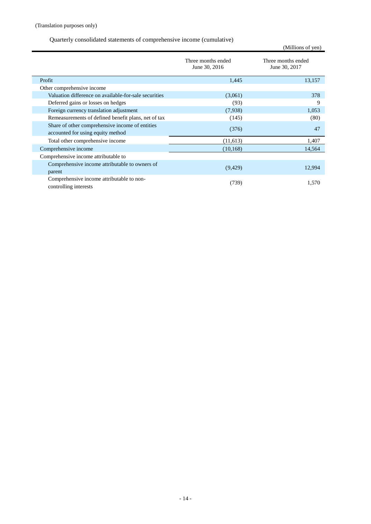# Quarterly consolidated statements of comprehensive income (cumulative)

|                                                                                      |                                     | (Millions of yen)                   |
|--------------------------------------------------------------------------------------|-------------------------------------|-------------------------------------|
|                                                                                      | Three months ended<br>June 30, 2016 | Three months ended<br>June 30, 2017 |
| Profit                                                                               | 1,445                               | 13,157                              |
| Other comprehensive income                                                           |                                     |                                     |
| Valuation difference on available-for-sale securities                                | (3,061)                             | 378                                 |
| Deferred gains or losses on hedges                                                   | (93)                                | 9                                   |
| Foreign currency translation adjustment                                              | (7,938)                             | 1,053                               |
| Remeasurements of defined benefit plans, net of tax                                  | (145)                               | (80)                                |
| Share of other comprehensive income of entities<br>accounted for using equity method | (376)                               | 47                                  |
| Total other comprehensive income                                                     | (11,613)                            | 1,407                               |
| Comprehensive income                                                                 | (10, 168)                           | 14,564                              |
| Comprehensive income attributable to                                                 |                                     |                                     |
| Comprehensive income attributable to owners of<br>parent                             | (9,429)                             | 12,994                              |
| Comprehensive income attributable to non-<br>controlling interests                   | (739)                               | 1,570                               |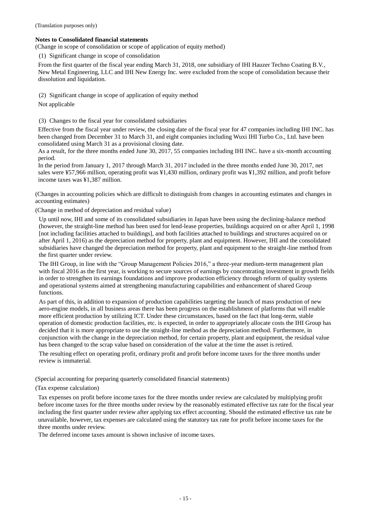(Translation purposes only)

#### **Notes to Consolidated financial statements**

(Change in scope of consolidation or scope of application of equity method)

(1) Significant change in scope of consolidation

From the first quarter of the fiscal year ending March 31, 2018, one subsidiary of IHI Hauzer Techno Coating B.V., New Metal Engineering, LLC and IHI New Energy Inc. were excluded from the scope of consolidation because their dissolution and liquidation.

(2) Significant change in scope of application of equity method

Not applicable

(3) Changes to the fiscal year for consolidated subsidiaries

Effective from the fiscal year under review, the closing date of the fiscal year for 47 companies including IHI INC. has been changed from December 31 to March 31, and eight companies including Wuxi IHI Turbo Co., Ltd. have been consolidated using March 31 as a provisional closing date.

As a result, for the three months ended June 30, 2017, 55 companies including IHI INC. have a six-month accounting period.

In the period from January 1, 2017 through March 31, 2017 included in the three months ended June 30, 2017, net sales were ¥57,966 million, operating profit was ¥1,430 million, ordinary profit was ¥1,392 million, and profit before income taxes was ¥1,387 million.

(Changes in accounting policies which are difficult to distinguish from changes in accounting estimates and changes in accounting estimates)

(Change in method of depreciation and residual value)

Up until now, IHI and some of its consolidated subsidiaries in Japan have been using the declining-balance method (however, the straight-line method has been used for lend-lease properties, buildings acquired on or after April 1, 1998 [not including facilities attached to buildings], and both facilities attached to buildings and structures acquired on or after April 1, 2016) as the depreciation method for property, plant and equipment. However, IHI and the consolidated subsidiaries have changed the depreciation method for property, plant and equipment to the straight-line method from the first quarter under review.

The IHI Group, in line with the "Group Management Policies 2016," a three-year medium-term management plan with fiscal 2016 as the first year, is working to secure sources of earnings by concentrating investment in growth fields in order to strengthen its earnings foundations and improve production efficiency through reform of quality systems and operational systems aimed at strengthening manufacturing capabilities and enhancement of shared Group functions.

As part of this, in addition to expansion of production capabilities targeting the launch of mass production of new aero-engine models, in all business areas there has been progress on the establishment of platforms that will enable more efficient production by utilizing ICT. Under these circumstances, based on the fact that long-term, stable operation of domestic production facilities, etc. is expected, in order to appropriately allocate costs the IHI Group has decided that it is more appropriate to use the straight-line method as the depreciation method. Furthermore, in conjunction with the change in the depreciation method, for certain property, plant and equipment, the residual value has been changed to the scrap value based on consideration of the value at the time the asset is retired.

The resulting effect on operating profit, ordinary profit and profit before income taxes for the three months under review is immaterial.

(Special accounting for preparing quarterly consolidated financial statements)

(Tax expense calculation)

Tax expenses on profit before income taxes for the three months under review are calculated by multiplying profit before income taxes for the three months under review by the reasonably estimated effective tax rate for the fiscal year including the first quarter under review after applying tax effect accounting. Should the estimated effective tax rate be unavailable, however, tax expenses are calculated using the statutory tax rate for profit before income taxes for the three months under review.

The deferred income taxes amount is shown inclusive of income taxes.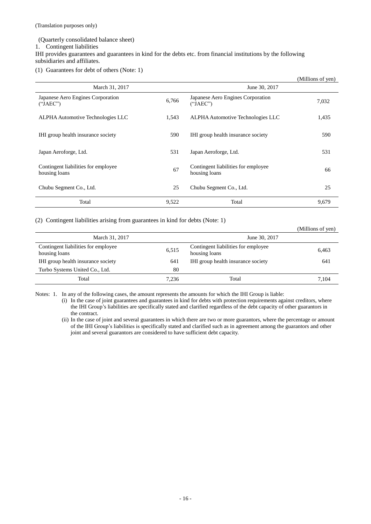(Translation purposes only)

#### (Quarterly consolidated balance sheet)

1. Contingent liabilities

IHI provides guarantees and guarantees in kind for the debts etc. from financial institutions by the following subsidiaries and affiliates.

(1) Guarantees for debt of others (Note: 1)

|                                                      |       |                                                      | (Millions of yen) |
|------------------------------------------------------|-------|------------------------------------------------------|-------------------|
| March 31, 2017                                       |       | June 30, 2017                                        |                   |
| Japanese Aero Engines Corporation<br>("JAEC")        | 6,766 | Japanese Aero Engines Corporation<br>("JAEC")        | 7,032             |
| ALPHA Automotive Technologies LLC                    | 1,543 | ALPHA Automotive Technologies LLC                    | 1,435             |
| IHI group health insurance society                   | 590   | IHI group health insurance society                   | 590               |
| Japan Aeroforge, Ltd.                                | 531   | Japan Aeroforge, Ltd.                                | 531               |
| Contingent liabilities for employee<br>housing loans | 67    | Contingent liabilities for employee<br>housing loans | 66                |
| Chubu Segment Co., Ltd.                              | 25    | Chubu Segment Co., Ltd.                              | 25                |
| Total                                                | 9,522 | Total                                                | 9,679             |

(2) Contingent liabilities arising from guarantees in kind for debts (Note: 1)

|                                                      |       |                                                      | (Millions of yen) |
|------------------------------------------------------|-------|------------------------------------------------------|-------------------|
| March 31, 2017                                       |       | June 30, 2017                                        |                   |
| Contingent liabilities for employee<br>housing loans | 6,515 | Contingent liabilities for employee<br>housing loans | 6,463             |
| IHI group health insurance society                   | 641   | IHI group health insurance society                   | 641               |
| Turbo Systems United Co., Ltd.                       | 80    |                                                      |                   |
| Total                                                | 7,236 | Total                                                | 7.104             |

Notes: 1. In any of the following cases, the amount represents the amounts for which the IHI Group is liable:

(i) In the case of joint guarantees and guarantees in kind for debts with protection requirements against creditors, where the IHI Group's liabilities are specifically stated and clarified regardless of the debt capacity of other guarantors in the contract.

(ii) In the case of joint and several guarantees in which there are two or more guarantors, where the percentage or amount of the IHI Group's liabilities is specifically stated and clarified such as in agreement among the guarantors and other joint and several guarantors are considered to have sufficient debt capacity.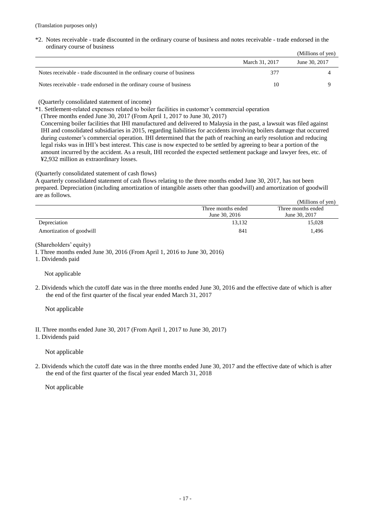\*2. Notes receivable - trade discounted in the ordinary course of business and notes receivable - trade endorsed in the ordinary course of business (Millions of yen)

|                                                                        |                | (TATHIOHS OF ACH) |
|------------------------------------------------------------------------|----------------|-------------------|
|                                                                        | March 31, 2017 | June 30, 2017     |
| Notes receivable - trade discounted in the ordinary course of business | 377            |                   |
| Notes receivable - trade endorsed in the ordinary course of business   | 10             |                   |

(Quarterly consolidated statement of income)

\*1. Settlement-related expenses related to boiler facilities in customer's commercial operation

(Three months ended June 30, 2017 (From April 1, 2017 to June 30, 2017)

Concerning boiler facilities that IHI manufactured and delivered to Malaysia in the past, a lawsuit was filed against IHI and consolidated subsidiaries in 2015, regarding liabilities for accidents involving boilers damage that occurred during customer's commercial operation. IHI determined that the path of reaching an early resolution and reducing legal risks was in IHI's best interest. This case is now expected to be settled by agreeing to bear a portion of the amount incurred by the accident. As a result, IHI recorded the expected settlement package and lawyer fees, etc. of ¥2,932 million as extraordinary losses.

#### (Quarterly consolidated statement of cash flows)

A quarterly consolidated statement of cash flows relating to the three months ended June 30, 2017, has not been prepared. Depreciation (including amortization of intangible assets other than goodwill) and amortization of goodwill are as follows.

|                          |                    | (Millions of yen)  |
|--------------------------|--------------------|--------------------|
|                          | Three months ended | Three months ended |
|                          | June 30, 2016      | June 30, 2017      |
| Depreciation             | 13.132             | 15,028             |
| Amortization of goodwill | 841                | 1.496              |

(Shareholders' equity)

I. Three months ended June 30, 2016 (From April 1, 2016 to June 30, 2016)

1. Dividends paid

Not applicable

2. Dividends which the cutoff date was in the three months ended June 30, 2016 and the effective date of which is after the end of the first quarter of the fiscal year ended March 31, 2017

Not applicable

II. Three months ended June 30, 2017 (From April 1, 2017 to June 30, 2017)

1. Dividends paid

Not applicable

2. Dividends which the cutoff date was in the three months ended June 30, 2017 and the effective date of which is after the end of the first quarter of the fiscal year ended March 31, 2018

Not applicable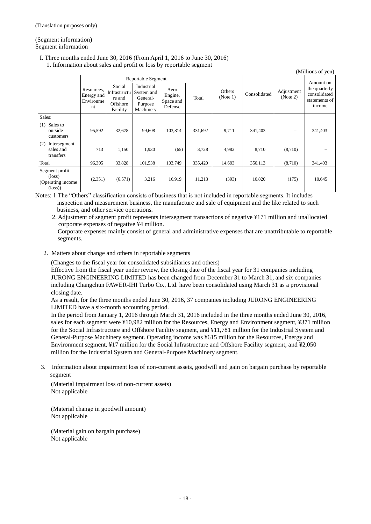(Segment information) Segment information

# I. Three months ended June 30, 2016 (From April 1, 2016 to June 30, 2016)

1. Information about sales and profit or loss by reportable segment

| (Millions of yen)                                                         |                                             |                                                          |                                                              |                                         |         |                    |              |                        |                                                          |
|---------------------------------------------------------------------------|---------------------------------------------|----------------------------------------------------------|--------------------------------------------------------------|-----------------------------------------|---------|--------------------|--------------|------------------------|----------------------------------------------------------|
|                                                                           | Reportable Segment                          |                                                          |                                                              |                                         |         |                    |              |                        | Amount on                                                |
|                                                                           | Resources,<br>Energy and<br>Environme<br>nt | Social<br>Infrastructu<br>re and<br>Offshore<br>Facility | Industrial<br>System and<br>General-<br>Purpose<br>Machinery | Aero<br>Engine,<br>Space and<br>Defense | Total   | Others<br>(Note 1) | Consolidated | Adjustment<br>(Note 2) | the quarterly<br>consolidated<br>statements of<br>income |
| Sales:                                                                    |                                             |                                                          |                                                              |                                         |         |                    |              |                        |                                                          |
| Sales to<br>(1)<br>outside<br>customers                                   | 95,592                                      | 32,678                                                   | 99,608                                                       | 103,814                                 | 331,692 | 9,711              | 341,403      |                        | 341,403                                                  |
| Intersegment<br>(2)<br>sales and<br>transfers                             | 713                                         | 1,150                                                    | 1,930                                                        | (65)                                    | 3,728   | 4,982              | 8,710        | (8,710)                |                                                          |
| Total                                                                     | 96,305                                      | 33,828                                                   | 101,538                                                      | 103,749                                 | 335,420 | 14,693             | 350,113      | (8,710)                | 341,403                                                  |
| Segment profit<br>$(\text{loss})$<br>(Operating income<br>$(\text{loss})$ | (2,351)                                     | (6,571)                                                  | 3,216                                                        | 16,919                                  | 11,213  | (393)              | 10,820       | (175)                  | 10,645                                                   |

Notes: 1.The "Others" classification consists of business that is not included in reportable segments. It includes inspection and measurement business, the manufacture and sale of equipment and the like related to such business, and other service operations.

2. Adjustment of segment profit represents intersegment transactions of negative ¥171 million and unallocated corporate expenses of negative ¥4 million.

Corporate expenses mainly consist of general and administrative expenses that are unattributable to reportable segments.

# 2. Matters about change and others in reportable segments

(Changes to the fiscal year for consolidated subsidiaries and others)

Effective from the fiscal year under review, the closing date of the fiscal year for 31 companies including JURONG ENGINEERING LIMITED has been changed from December 31 to March 31, and six companies including Changchun FAWER-IHI Turbo Co., Ltd. have been consolidated using March 31 as a provisional closing date.

As a result, for the three months ended June 30, 2016, 37 companies including JURONG ENGINEERING LIMITED have a six-month accounting period.

In the period from January 1, 2016 through March 31, 2016 included in the three months ended June 30, 2016, sales for each segment were ¥10,982 million for the Resources, Energy and Environment segment, ¥371 million for the Social Infrastructure and Offshore Facility segment, and ¥11,781 million for the Industrial System and General-Purpose Machinery segment. Operating income was ¥615 million for the Resources, Energy and Environment segment, ¥17 million for the Social Infrastructure and Offshore Facility segment, and ¥2,050 million for the Industrial System and General-Purpose Machinery segment.

3. Information about impairment loss of non-current assets, goodwill and gain on bargain purchase by reportable segment

(Material impairment loss of non-current assets) Not applicable

(Material change in goodwill amount) Not applicable

(Material gain on bargain purchase) Not applicable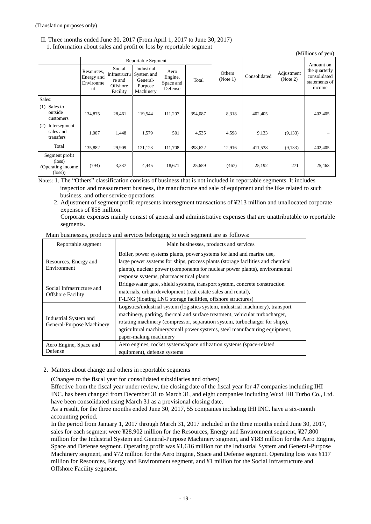## II. Three months ended June 30, 2017 (From April 1, 2017 to June 30, 2017)

1. Information about sales and profit or loss by reportable segment

|                                                                            |                                             |                                                          |                                                              |                                         |         |                    |              |                          | (Millions of yen)                                        |
|----------------------------------------------------------------------------|---------------------------------------------|----------------------------------------------------------|--------------------------------------------------------------|-----------------------------------------|---------|--------------------|--------------|--------------------------|----------------------------------------------------------|
|                                                                            |                                             |                                                          | Reportable Segment                                           |                                         |         |                    |              | Amount on                |                                                          |
|                                                                            | Resources,<br>Energy and<br>Environme<br>nt | Social<br>Infrastructu<br>re and<br>Offshore<br>Facility | Industrial<br>System and<br>General-<br>Purpose<br>Machinery | Aero<br>Engine,<br>Space and<br>Defense | Total   | Others<br>(Note 1) | Consolidated | Adjustment<br>(Note 2)   | the quarterly<br>consolidated<br>statements of<br>income |
| Sales:                                                                     |                                             |                                                          |                                                              |                                         |         |                    |              |                          |                                                          |
| Sales to<br>(1)<br>outside<br>customers                                    | 134,875                                     | 28,461                                                   | 119,544                                                      | 111,207                                 | 394,087 | 8,318              | 402,405      | $\overline{\phantom{0}}$ | 402,405                                                  |
| (2)<br>Intersegment<br>sales and<br>transfers                              | 1,007                                       | 1,448                                                    | 1,579                                                        | 501                                     | 4,535   | 4,598              | 9,133        | (9,133)                  |                                                          |
| Total                                                                      | 135,882                                     | 29,909                                                   | 121,123                                                      | 111,708                                 | 398,622 | 12,916             | 411,538      | (9,133)                  | 402,405                                                  |
| Segment profit<br>$(\text{loss})$<br>(Operating income)<br>$(\text{loss})$ | (794)                                       | 3,337                                                    | 4,445                                                        | 18,671                                  | 25,659  | (467)              | 25,192       | 271                      | 25,463                                                   |

Notes: 1. The "Others" classification consists of business that is not included in reportable segments. It includes inspection and measurement business, the manufacture and sale of equipment and the like related to such business, and other service operations.

2. Adjustment of segment profit represents intersegment transactions of ¥213 million and unallocated corporate expenses of ¥58 million.

Corporate expenses mainly consist of general and administrative expenses that are unattributable to reportable segments.

| Main businesses, products and services belonging to each segment are as follows: |  |  |  |
|----------------------------------------------------------------------------------|--|--|--|

| Reportable segment                                    | Main businesses, products and services                                                                                                                                                                                                                                                                                                               |
|-------------------------------------------------------|------------------------------------------------------------------------------------------------------------------------------------------------------------------------------------------------------------------------------------------------------------------------------------------------------------------------------------------------------|
| Resources, Energy and<br>Environment                  | Boiler, power systems plants, power systems for land and marine use,<br>large power systems for ships, process plants (storage facilities and chemical<br>plants), nuclear power (components for nuclear power plants), environmental<br>response systems, pharmaceutical plants                                                                     |
| Social Infrastructure and<br><b>Offshore Facility</b> | Bridge/water gate, shield systems, transport system, concrete construction<br>materials, urban development (real estate sales and rental),<br>F-LNG (floating LNG storage facilities, offshore structures)                                                                                                                                           |
| Industrial System and<br>General-Purpose Machinery    | Logistics/industrial system (logistics system, industrial machinery), transport<br>machinery, parking, thermal and surface treatment, vehicular turbocharger,<br>rotating machinery (compressor, separation system, turbocharger for ships),<br>agricultural machinery/small power systems, steel manufacturing equipment,<br>paper-making machinery |
| Aero Engine, Space and<br>Defense                     | Aero engines, rocket systems/space utilization systems (space-related<br>equipment), defense systems                                                                                                                                                                                                                                                 |

#### 2. Matters about change and others in reportable segments

(Changes to the fiscal year for consolidated subsidiaries and others)

Effective from the fiscal year under review, the closing date of the fiscal year for 47 companies including IHI INC. has been changed from December 31 to March 31, and eight companies including Wuxi IHI Turbo Co., Ltd. have been consolidated using March 31 as a provisional closing date.

As a result, for the three months ended June 30, 2017, 55 companies including IHI INC. have a six-month accounting period.

In the period from January 1, 2017 through March 31, 2017 included in the three months ended June 30, 2017, sales for each segment were ¥28,902 million for the Resources, Energy and Environment segment, ¥27,800 million for the Industrial System and General-Purpose Machinery segment, and ¥183 million for the Aero Engine, Space and Defense segment. Operating profit was ¥1,616 million for the Industrial System and General-Purpose Machinery segment, and ¥72 million for the Aero Engine, Space and Defense segment. Operating loss was ¥117 million for Resources, Energy and Environment segment, and ¥1 million for the Social Infrastructure and Offshore Facility segment.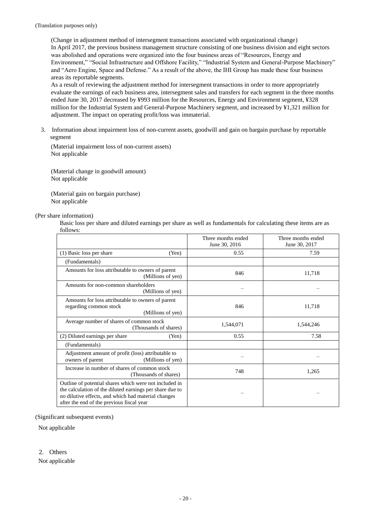(Change in adjustment method of intersegment transactions associated with organizational change) In April 2017, the previous business management structure consisting of one business division and eight sectors was abolished and operations were organized into the four business areas of "Resources, Energy and Environment," "Social Infrastructure and Offshore Facility," "Industrial System and General-Purpose Machinery" and "Aero Engine, Space and Defense." As a result of the above, the IHI Group has made these four business areas its reportable segments.

As a result of reviewing the adjustment method for intersegment transactions in order to more appropriately evaluate the earnings of each business area, intersegment sales and transfers for each segment in the three months ended June 30, 2017 decreased by ¥993 million for the Resources, Energy and Environment segment, ¥328 million for the Industrial System and General-Purpose Machinery segment, and increased by ¥1,321 million for adjustment. The impact on operating profit/loss was immaterial.

3. Information about impairment loss of non-current assets, goodwill and gain on bargain purchase by reportable segment

(Material impairment loss of non-current assets) Not applicable

(Material change in goodwill amount) Not applicable

(Material gain on bargain purchase) Not applicable

#### (Per share information)

Basic loss per share and diluted earnings per share as well as fundamentals for calculating these items are as follows:

|                                                                                                                                                                                                                        | Three months ended<br>June 30, 2016 | Three months ended<br>June 30, 2017 |
|------------------------------------------------------------------------------------------------------------------------------------------------------------------------------------------------------------------------|-------------------------------------|-------------------------------------|
| (1) Basic loss per share<br>(Yen)                                                                                                                                                                                      | 0.55                                | 7.59                                |
| (Fundamentals)                                                                                                                                                                                                         |                                     |                                     |
| Amounts for loss attributable to owners of parent<br>(Millions of yen)                                                                                                                                                 | 846                                 | 11,718                              |
| Amounts for non-common shareholders<br>(Millions of yen)                                                                                                                                                               |                                     |                                     |
| Amounts for loss attributable to owners of parent<br>regarding common stock<br>(Millions of yen)                                                                                                                       | 846                                 | 11,718                              |
| Average number of shares of common stock<br>(Thousands of shares)                                                                                                                                                      | 1,544,071                           | 1,544,246                           |
| (2) Diluted earnings per share<br>(Yen)                                                                                                                                                                                | 0.55                                | 7.58                                |
| (Fundamentals)                                                                                                                                                                                                         |                                     |                                     |
| Adjustment amount of profit (loss) attributable to<br>owners of parent<br>(Millions of yen)                                                                                                                            |                                     |                                     |
| Increase in number of shares of common stock<br>(Thousands of shares)                                                                                                                                                  | 748                                 | 1,265                               |
| Outline of potential shares which were not included in<br>the calculation of the diluted earnings per share due to<br>no dilutive effects, and which had material changes<br>after the end of the previous fiscal year |                                     |                                     |

(Significant subsequent events)

Not applicable

2. Others

Not applicable